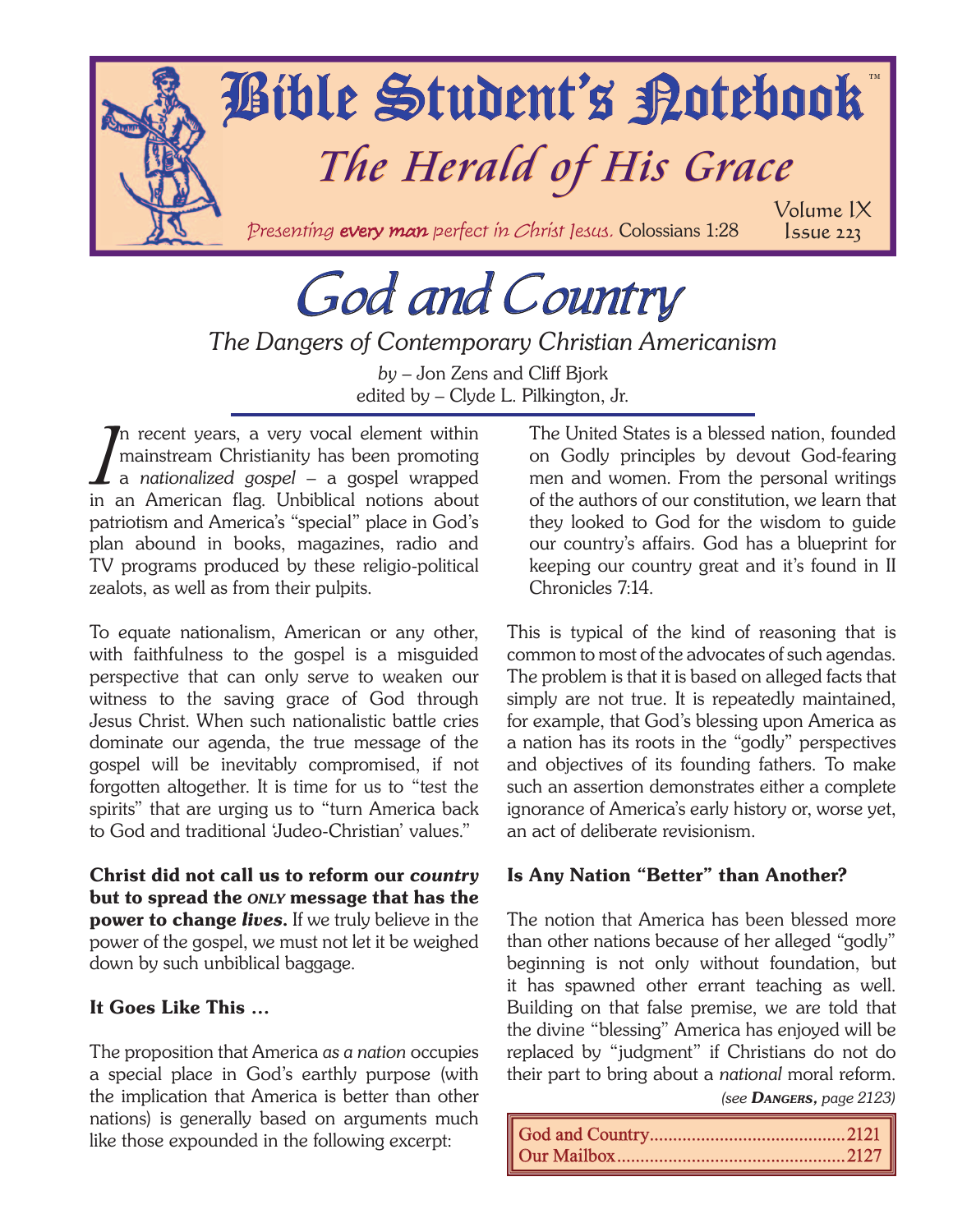

# God and Country

*The Dangers of Contemporary Christian Americanism*

*by* – Jon Zens and Cliff Bjork edited by – Clyde L. Pilkington, Jr.

 $\prod_{\mathbf{m} \in \mathbb{Z}}$ n recent years, a very vocal element within mainstream Christianity has been promoting a *nationalized gospel* – a gospel wrapped in an American flag. Unbiblical notions about patriotism and America's "special" place in God's plan abound in books, magazines, radio and TV programs produced by these religio-political zealots, as well as from their pulpits.

To equate nationalism, American or any other, with faithfulness to the gospel is a misguided perspective that can only serve to weaken our witness to the saving grace of God through Jesus Christ. When such nationalistic battle cries dominate our agenda, the true message of the gospel will be inevitably compromised, if not forgotten altogether. It is time for us to "test the spirits" that are urging us to "turn America back to God and traditional 'Judeo-Christian' values."

Christ did not call us to reform our *country* but to spread the *ONLY* message that has the power to change *lives*. If we truly believe in the power of the gospel, we must not let it be weighed down by such unbiblical baggage.

## It Goes Like This ...

The proposition that America *as a nation* occupies a special place in God's earthly purpose (with the implication that America is better than other nations) is generally based on arguments much like those expounded in the following excerpt:

The United States is a blessed nation, founded on Godly principles by devout God-fearing men and women. From the personal writings of the authors of our constitution, we learn that they looked to God for the wisdom to guide our country's affairs. God has a blueprint for keeping our country great and it's found in II Chronicles 7:14.

This is typical of the kind of reasoning that is common to most of the advocates of such agendas. The problem is that it is based on alleged facts that simply are not true. It is repeatedly maintained, for example, that God's blessing upon America as a nation has its roots in the "godly" perspectives and objectives of its founding fathers. To make such an assertion demonstrates either a complete ignorance of America's early history or, worse yet, an act of deliberate revisionism.

## Is Any Nation "Better" than Another?

The notion that America has been blessed more than other nations because of her alleged "godly" beginning is not only without foundation, but it has spawned other errant teaching as well. Building on that false premise, we are told that the divine "blessing" America has enjoyed will be replaced by "judgment" if Christians do not do their part to bring about a *national* moral reform.

*(see DANGERS, page 2123)*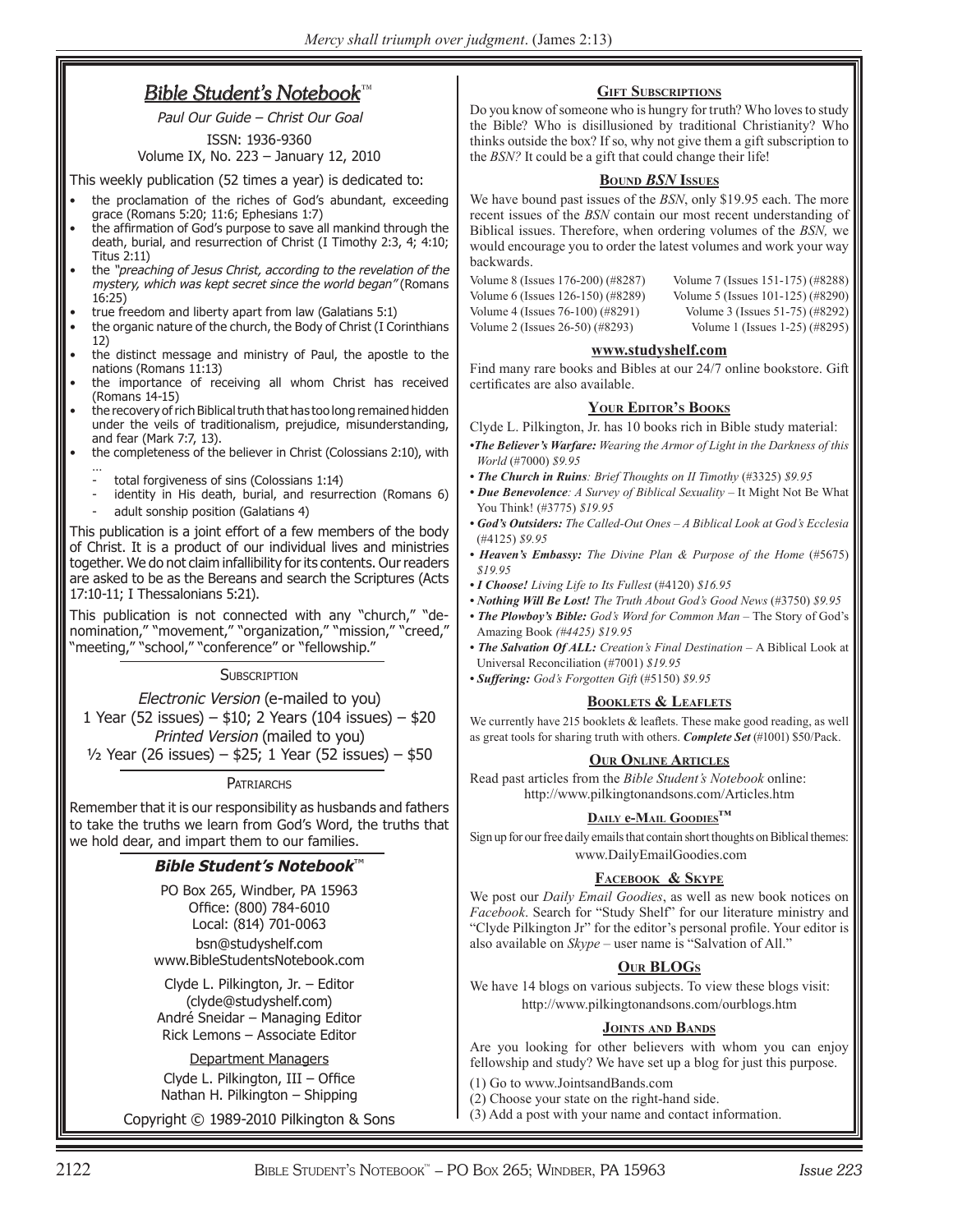## *Bible Student's Notebook*<sup>™</sup>

Paul Our Guide – Christ Our Goal ISSN: 1936-9360

## Volume IX, No. 223 – January 12, 2010

This weekly publication (52 times a year) is dedicated to:

- the proclamation of the riches of God's abundant, exceeding grace (Romans 5:20; 11:6; Ephesians 1:7)
- the affirmation of God's purpose to save all mankind through the death, burial, and resurrection of Christ (I Timothy 2:3, 4; 4:10; Titus 2:11)
- the "preaching of Jesus Christ, according to the revelation of the mystery, which was kept secret since the world began" (Romans 16:25)
- true freedom and liberty apart from law (Galatians 5:1)
- the organic nature of the church, the Body of Christ (I Corinthians 12)
- the distinct message and ministry of Paul, the apostle to the nations (Romans 11:13)
- the importance of receiving all whom Christ has received (Romans 14-15)
- the recovery of rich Biblical truth that has too long remained hidden under the veils of traditionalism, prejudice, misunderstanding, and fear (Mark 7:7, 13).
- the completeness of the believer in Christ (Colossians 2:10), with …
	- total forgiveness of sins (Colossians 1:14)
	- identity in His death, burial, and resurrection (Romans 6)
	- adult sonship position (Galatians 4)

This publication is a joint effort of a few members of the body of Christ. It is a product of our individual lives and ministries together. We do not claim infallibility for its contents. Our readers are asked to be as the Bereans and search the Scriptures (Acts 17:10-11; I Thessalonians 5:21).

This publication is not connected with any "church," "denomination," "movement," "organization," "mission," "creed,' "meeting," "school," "conference" or "fellowship."

#### **SUBSCRIPTION**

Electronic Version (e-mailed to you) 1 Year (52 issues) – \$10; 2 Years (104 issues) – \$20 Printed Version (mailed to you)  $\frac{1}{2}$  Year (26 issues) – \$25; 1 Year (52 issues) – \$50

**PATRIARCHS** 

Remember that it is our responsibility as husbands and fathers to take the truths we learn from God's Word, the truths that we hold dear, and impart them to our families.

#### **Bible Student's Notebook**™

PO Box 265, Windber, PA 15963 Office: (800) 784-6010 Local: (814) 701-0063 bsn@studyshelf.com www.BibleStudentsNotebook.com

Clyde L. Pilkington, Jr. – Editor (clyde@studyshelf.com) André Sneidar – Managing Editor Rick Lemons – Associate Editor

Department Managers Clyde L. Pilkington,  $III -$  Office Nathan H. Pilkington – Shipping

Copyright © 1989-2010 Pilkington & Sons

#### **GIFT SUBSCRIPTIONS**

Do you know of someone who is hungry for truth? Who loves to study the Bible? Who is disillusioned by traditional Christianity? Who thinks outside the box? If so, why not give them a gift subscription to the *BSN?* It could be a gift that could change their life!

#### **BOUND** *BSN* **ISSUES**

We have bound past issues of the *BSN*, only \$19.95 each. The more recent issues of the *BSN* contain our most recent understanding of Biblical issues. Therefore, when ordering volumes of the *BSN,* we would encourage you to order the latest volumes and work your way backwards.

Volume 6 (Issues 126-150) (#8289) Volume 5 (Issues 101-125) (#8290) Volume 4 (Issues 76-100) (#8291) Volume 3 (Issues 51-75) (#8292) Volume 2 (Issues 26-50) (#8293) Volume 1 (Issues 1-25) (#8295)

Volume 8 (Issues 176-200) (#8287) Volume 7 (Issues 151-175) (#8288)

#### **www.studyshelf.com**

Find many rare books and Bibles at our 24/7 online bookstore. Gift certificates are also available.

#### **YOUR EDITOR'S BOOKS**

Clyde L. Pilkington, Jr. has 10 books rich in Bible study material:

*•The Believer's Warfare: Wearing the Armor of Light in the Darkness of this World* (#7000) *\$9.95*

- The Church in Ruins: Brief Thoughts on II Timothy (#3325) \$9.95
- *Due Benevolence: A Survey of Biblical Sexuality* It Might Not Be What You Think! (#3775) *\$19.95*
- *God's Outsiders: The Called-Out Ones A Biblical Look at God's Ecclesia*  (#4125) *\$9.95*
- *Heaven's Embassy: The Divine Plan & Purpose of the Home* (#5675) *\$19.95*
- *I Choose! Living Life to Its Fullest* (#4120) *\$16.95*
- *Nothing Will Be Lost! The Truth About God's Good News* (#3750) *\$9.95*
- *The Plowboy's Bible: God's Word for Common Man* The Story of God's Amazing Book *(#4425) \$19.95*
- *The Salvation Of ALL: Creation's Final Destination* A Biblical Look at Universal Reconciliation (#7001) *\$19.95*
- *Suffering: God's Forgotten Gift* (#5150) *\$9.95*

#### **BOOKLETS & LEAFLETS**

We currently have 215 booklets  $\&$  leaflets. These make good reading, as well as great tools for sharing truth with others. *Complete Set* (#1001) \$50/Pack.

#### **OUR ONLINE ARTICLES**

Read past articles from the *Bible Student's Notebook* online: http://www.pilkingtonandsons.com/Articles.htm

#### **DAILY e-MAIL GOODIES™**

Sign up for our free daily emails that contain short thoughts on Biblical themes: www.DailyEmailGoodies.com

#### **FACEBOOK & SKYPE**

We post our *Daily Email Goodies*, as well as new book notices on *Facebook*. Search for "Study Shelf" for our literature ministry and "Clyde Pilkington Jr" for the editor's personal profile. Your editor is also available on *Skype* – user name is "Salvation of All."

#### **OUR BLOGS**

We have 14 blogs on various subjects. To view these blogs visit: http://www.pilkingtonandsons.com/ourblogs.htm

#### **JOINTS AND BANDS**

Are you looking for other believers with whom you can enjoy fellowship and study? We have set up a blog for just this purpose.

- (1) Go to www.JointsandBands.com
- (2) Choose your state on the right-hand side.
- (3) Add a post with your name and contact information.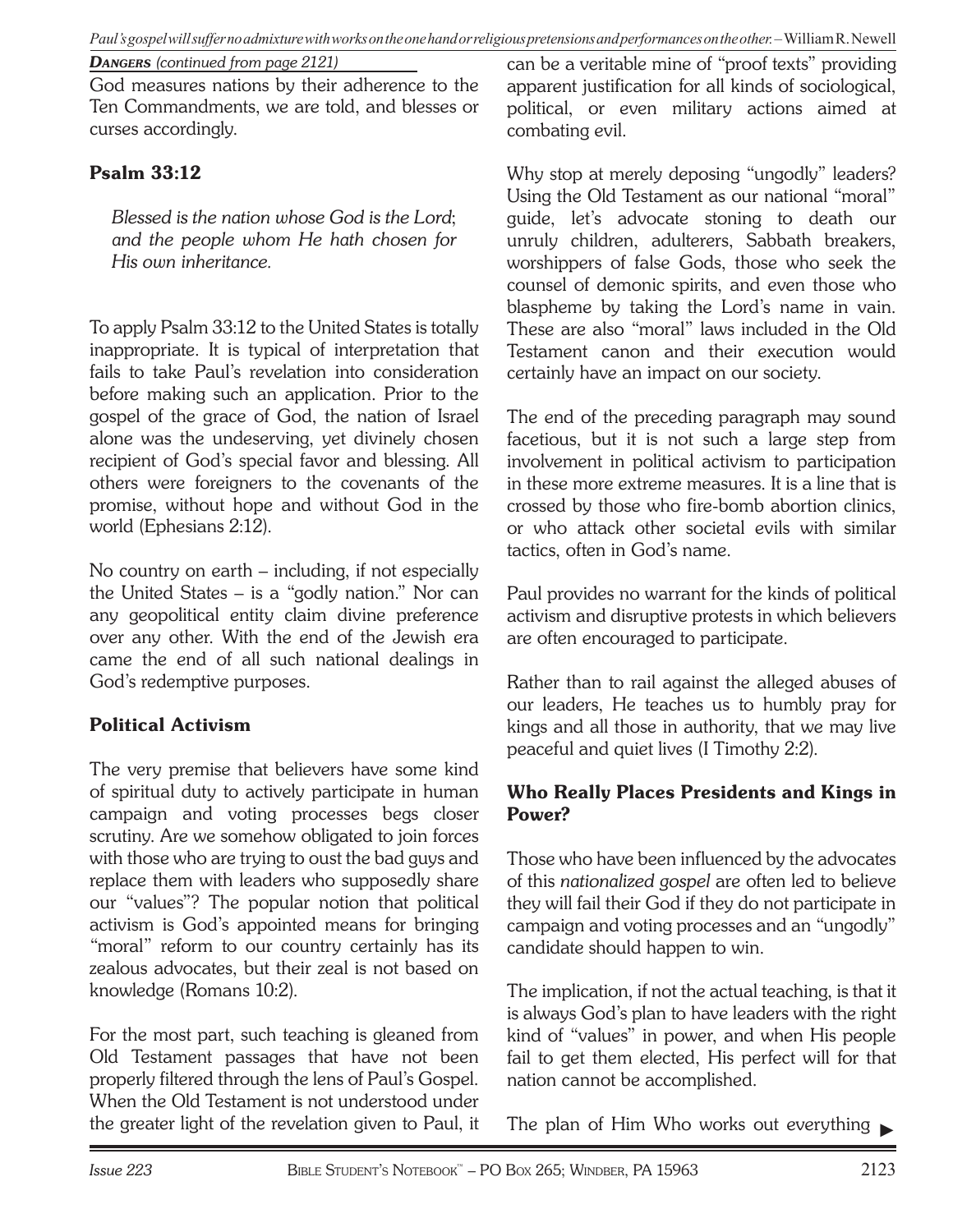*Paul's gospel will suffer no admixture with works on the one hand or religious pretensions and performances on the other.*– William R. Newell

*DANGERS (continued from page 2121)*

God measures nations by their adherence to the Ten Commandments, we are told, and blesses or curses accordingly.

## Psalm 33:12

*Blessed is the nation whose God is the Lord*; *and the people whom He hath chosen for His own inheritance.*

To apply Psalm 33:12 to the United States is totally inappropriate. It is typical of interpretation that fails to take Paul's revelation into consideration before making such an application. Prior to the gospel of the grace of God, the nation of Israel alone was the undeserving, yet divinely chosen recipient of God's special favor and blessing. All others were foreigners to the covenants of the promise, without hope and without God in the world (Ephesians 2:12).

No country on earth – including, if not especially the United States – is a "godly nation." Nor can any geopolitical entity claim divine preference over any other. With the end of the Jewish era came the end of all such national dealings in God's redemptive purposes.

## **Political Activism**

The very premise that believers have some kind of spiritual duty to actively participate in human campaign and voting processes begs closer scrutiny. Are we somehow obligated to join forces with those who are trying to oust the bad guys and replace them with leaders who supposedly share our "values"? The popular notion that political activism is God's appointed means for bringing "moral" reform to our country certainly has its zealous advocates, but their zeal is not based on knowledge (Romans 10:2).

For the most part, such teaching is gleaned from Old Testament passages that have not been properly filtered through the lens of Paul's Gospel. When the Old Testament is not understood under the greater light of the revelation given to Paul, it

can be a veritable mine of "proof texts" providing apparent justification for all kinds of sociological, political, or even military actions aimed at combating evil.

Why stop at merely deposing "ungodly" leaders? Using the Old Testament as our national "moral" guide, let's advocate stoning to death our unruly children, adulterers, Sabbath breakers, worshippers of false Gods, those who seek the counsel of demonic spirits, and even those who blaspheme by taking the Lord's name in vain. These are also "moral" laws included in the Old Testament canon and their execution would certainly have an impact on our society.

The end of the preceding paragraph may sound facetious, but it is not such a large step from involvement in political activism to participation in these more extreme measures. It is a line that is crossed by those who fire-bomb abortion clinics, or who attack other societal evils with similar tactics, often in God's name.

Paul provides no warrant for the kinds of political activism and disruptive protests in which believers are often encouraged to participate.

Rather than to rail against the alleged abuses of our leaders, He teaches us to humbly pray for kings and all those in authority, that we may live peaceful and quiet lives (I Timothy 2:2).

## Who Really Places Presidents and Kings in Power?

Those who have been influenced by the advocates of this *nationalized gospel* are often led to believe they will fail their God if they do not participate in campaign and voting processes and an "ungodly" candidate should happen to win.

The implication, if not the actual teaching, is that it is always God's plan to have leaders with the right kind of "values" in power, and when His people fail to get them elected, His perfect will for that nation cannot be accomplished.

The plan of Him Who works out everything ►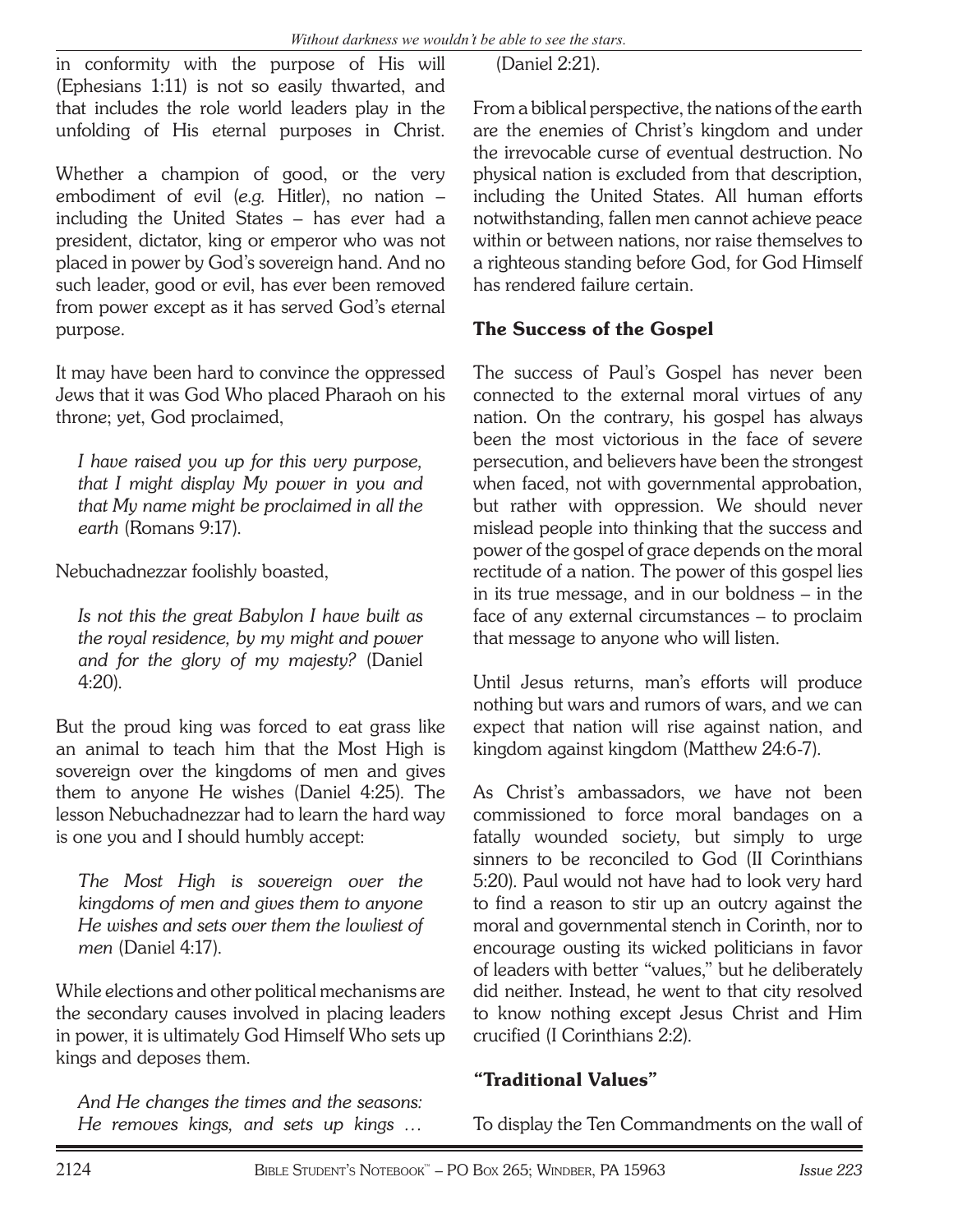in conformity with the purpose of His will (Ephesians 1:11) is not so easily thwarted, and that includes the role world leaders play in the unfolding of His eternal purposes in Christ.

Whether a champion of good, or the very embodiment of evil (*e.g.* Hitler), no nation – including the United States – has ever had a president, dictator, king or emperor who was not placed in power by God's sovereign hand. And no such leader, good or evil, has ever been removed from power except as it has served God's eternal purpose.

It may have been hard to convince the oppressed Jews that it was God Who placed Pharaoh on his throne; yet, God proclaimed,

*I have raised you up for this very purpose, that I might display My power in you and that My name might be proclaimed in all the earth* (Romans 9:17).

Nebuchadnezzar foolishly boasted,

*Is not this the great Babylon I have built as the royal residence, by my might and power and for the glory of my majesty?* (Daniel 4:20).

But the proud king was forced to eat grass like an animal to teach him that the Most High is sovereign over the kingdoms of men and gives them to anyone He wishes (Daniel 4:25). The lesson Nebuchadnezzar had to learn the hard way is one you and I should humbly accept:

*The Most High is sovereign over the kingdoms of men and gives them to anyone He wishes and sets over them the lowliest of men* (Daniel 4:17).

While elections and other political mechanisms are the secondary causes involved in placing leaders in power, it is ultimately God Himself Who sets up kings and deposes them.

*And He changes the times and the seasons: He removes kings, and sets up kings …*

(Daniel 2:21).

From a biblical perspective, the nations of the earth are the enemies of Christ's kingdom and under the irrevocable curse of eventual destruction. No physical nation is excluded from that description, including the United States. All human efforts notwithstanding, fallen men cannot achieve peace within or between nations, nor raise themselves to a righteous standing before God, for God Himself has rendered failure certain.

## The Success of the Gospel

The success of Paul's Gospel has never been connected to the external moral virtues of any nation. On the contrary, his gospel has always been the most victorious in the face of severe persecution, and believers have been the strongest when faced, not with governmental approbation, but rather with oppression. We should never mislead people into thinking that the success and power of the gospel of grace depends on the moral rectitude of a nation. The power of this gospel lies in its true message, and in our boldness – in the face of any external circumstances – to proclaim that message to anyone who will listen.

Until Jesus returns, man's efforts will produce nothing but wars and rumors of wars, and we can expect that nation will rise against nation, and kingdom against kingdom (Matthew 24:6-7).

As Christ's ambassadors, we have not been commissioned to force moral bandages on a fatally wounded society, but simply to urge sinners to be reconciled to God (II Corinthians 5:20). Paul would not have had to look very hard to find a reason to stir up an outcry against the moral and governmental stench in Corinth, nor to encourage ousting its wicked politicians in favor of leaders with better "values," but he deliberately did neither. Instead, he went to that city resolved to know nothing except Jesus Christ and Him crucified (I Corinthians 2:2).

## " Traditional Values"

To display the Ten Commandments on the wall of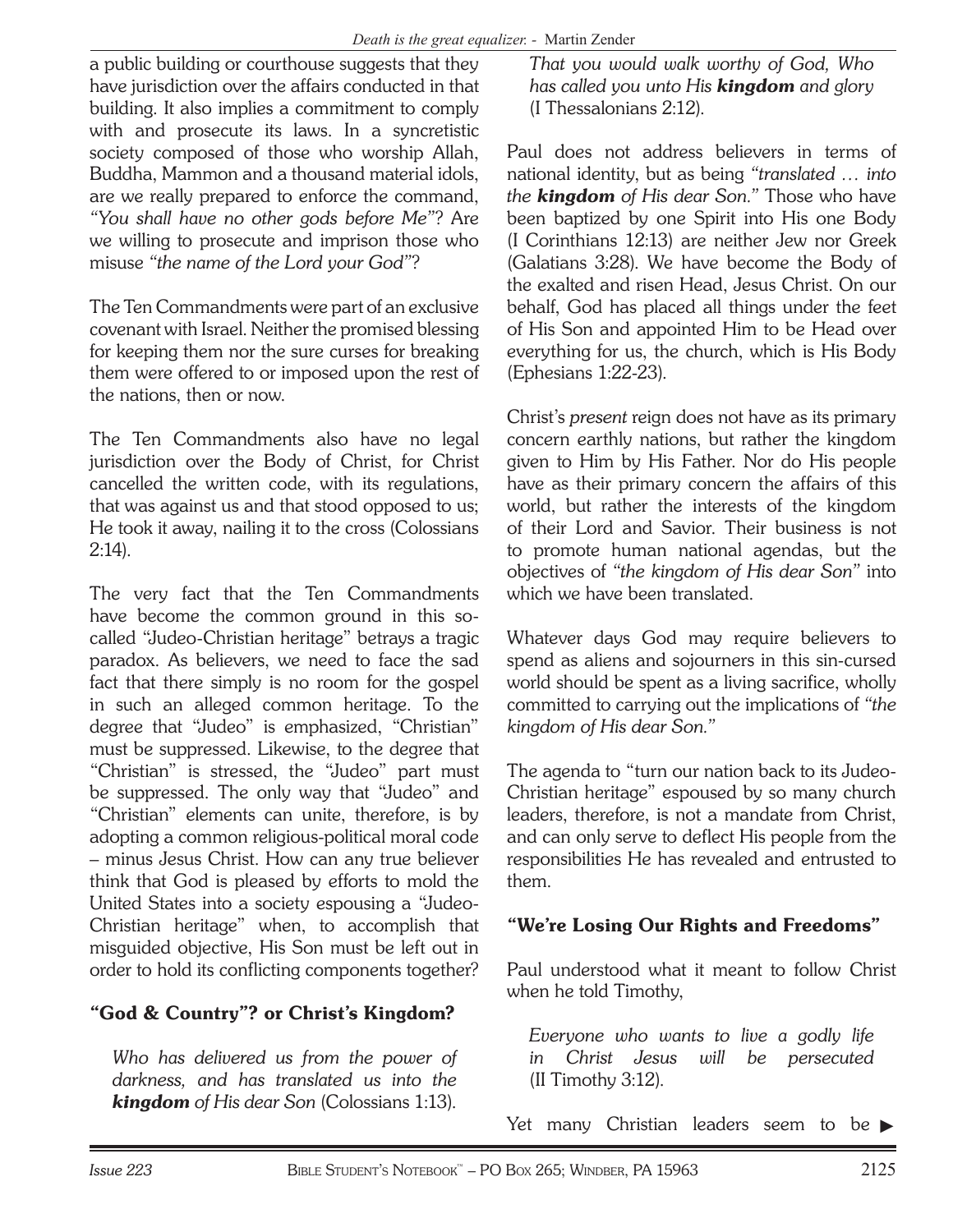a public building or courthouse suggests that they have jurisdiction over the affairs conducted in that building. It also implies a commitment to comply with and prosecute its laws. In a syncretistic society composed of those who worship Allah, Buddha, Mammon and a thousand material idols, are we really prepared to enforce the command, *"You shall have no other gods before Me"*? Are we willing to prosecute and imprison those who misuse *"the name of the Lord your God"*?

The Ten Commandments were part of an exclusive covenant with Israel. Neither the promised blessing for keeping them nor the sure curses for breaking them were offered to or imposed upon the rest of the nations, then or now.

The Ten Commandments also have no legal jurisdiction over the Body of Christ, for Christ cancelled the written code, with its regulations, that was against us and that stood opposed to us; He took it away, nailing it to the cross (Colossians 2:14).

The very fact that the Ten Commandments have become the common ground in this socalled "Judeo-Christian heritage" betrays a tragic paradox. As believers, we need to face the sad fact that there simply is no room for the gospel in such an alleged common heritage. To the degree that "Judeo" is emphasized, "Christian" must be suppressed. Likewise, to the degree that "Christian" is stressed, the "Judeo" part must be suppressed. The only way that "Judeo" and "Christian" elements can unite, therefore, is by adopting a common religious-political moral code – minus Jesus Christ. How can any true believer think that God is pleased by efforts to mold the United States into a society espousing a "Judeo-Christian heritage" when, to accomplish that misguided objective, His Son must be left out in order to hold its conflicting components together?

# " God & Country"? or Christ's Kingdom?

*Who has delivered us from the power of darkness, and has translated us into the kingdom of His dear Son* (Colossians 1:13).

*That you would walk worthy of God, Who has called you unto His kingdom and glory* (I Thessalonians 2:12).

Paul does not address believers in terms of national identity, but as being *"translated … into the kingdom of His dear Son."* Those who have been baptized by one Spirit into His one Body (I Corinthians 12:13) are neither Jew nor Greek (Galatians 3:28). We have become the Body of the exalted and risen Head, Jesus Christ. On our behalf, God has placed all things under the feet of His Son and appointed Him to be Head over everything for us, the church, which is His Body (Ephesians 1:22-23).

Christ's *present* reign does not have as its primary concern earthly nations, but rather the kingdom given to Him by His Father. Nor do His people have as their primary concern the affairs of this world, but rather the interests of the kingdom of their Lord and Savior. Their business is not to promote human national agendas, but the objectives of *"the kingdom of His dear Son"* into which we have been translated.

Whatever days God may require believers to spend as aliens and sojourners in this sin-cursed world should be spent as a living sacrifice, wholly committed to carrying out the implications of *"the kingdom of His dear Son."*

The agenda to "turn our nation back to its Judeo-Christian heritage" espoused by so many church leaders, therefore, is not a mandate from Christ, and can only serve to deflect His people from the responsibilities He has revealed and entrusted to them.

# " We're Losing Our Rights and Freedoms"

Paul understood what it meant to follow Christ when he told Timothy,

*Everyone who wants to live a godly life in Christ Jesus will be persecuted* (II Timothy 3:12).

Yet many Christian leaders seem to be ►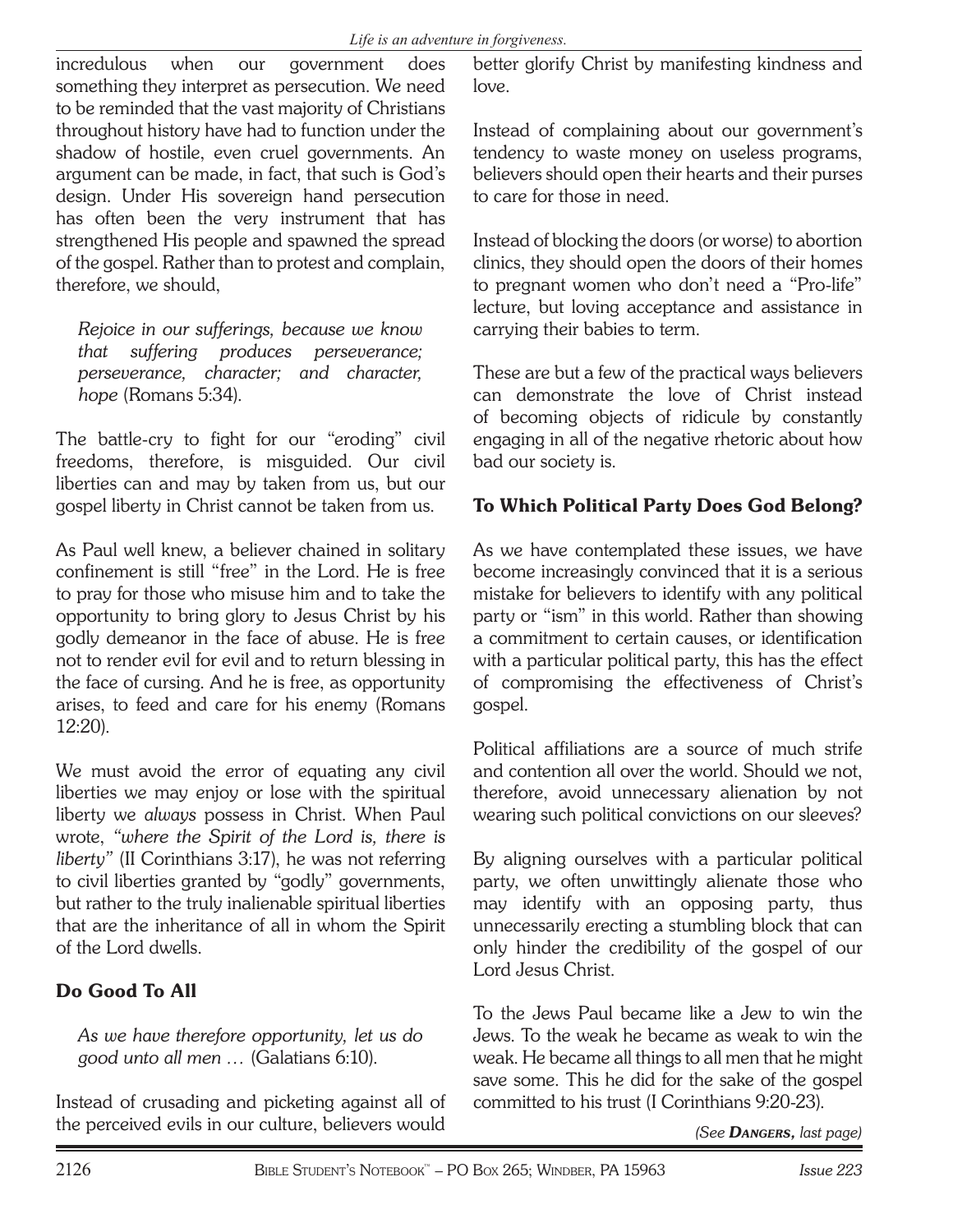incredulous when our government does something they interpret as persecution. We need to be reminded that the vast majority of Christians throughout history have had to function under the shadow of hostile, even cruel governments. An argument can be made, in fact, that such is God's design. Under His sovereign hand persecution has often been the very instrument that has strengthened His people and spawned the spread of the gospel. Rather than to protest and complain, therefore, we should,

*Rejoice in our sufferings, because we know that suffering produces perseverance; perseverance, character; and character, hope* (Romans 5:34).

The battle-cry to fight for our "eroding" civil freedoms, therefore, is misguided. Our civil liberties can and may by taken from us, but our gospel liberty in Christ cannot be taken from us.

As Paul well knew, a believer chained in solitary confinement is still "free" in the Lord. He is free to pray for those who misuse him and to take the opportunity to bring glory to Jesus Christ by his godly demeanor in the face of abuse. He is free not to render evil for evil and to return blessing in the face of cursing. And he is free, as opportunity arises, to feed and care for his enemy (Romans 12:20).

We must avoid the error of equating any civil liberties we may enjoy or lose with the spiritual liberty we *always* possess in Christ. When Paul wrote, *"where the Spirit of the Lord is, there is liberty"* (II Corinthians 3:17), he was not referring to civil liberties granted by "godly" governments, but rather to the truly inalienable spiritual liberties that are the inheritance of all in whom the Spirit of the Lord dwells.

# Do Good To All

*As we have therefore opportunity, let us do good unto all men …* (Galatians 6:10).

Instead of crusading and picketing against all of the perceived evils in our culture, believers would better glorify Christ by manifesting kindness and love.

Instead of complaining about our government's tendency to waste money on useless programs, believers should open their hearts and their purses to care for those in need.

Instead of blocking the doors (or worse) to abortion clinics, they should open the doors of their homes to pregnant women who don't need a "Pro-life" lecture, but loving acceptance and assistance in carrying their babies to term.

These are but a few of the practical ways believers can demonstrate the love of Christ instead of becoming objects of ridicule by constantly engaging in all of the negative rhetoric about how bad our society is.

## To Which Political Party Does God Belong?

As we have contemplated these issues, we have become increasingly convinced that it is a serious mistake for believers to identify with any political party or "ism" in this world. Rather than showing a commitment to certain causes, or identification with a particular political party, this has the effect of compromising the effectiveness of Christ's gospel.

Political affiliations are a source of much strife and contention all over the world. Should we not, therefore, avoid unnecessary alienation by not wearing such political convictions on our sleeves?

By aligning ourselves with a particular political party, we often unwittingly alienate those who may identify with an opposing party, thus unnecessarily erecting a stumbling block that can only hinder the credibility of the gospel of our Lord Jesus Christ.

To the Jews Paul became like a Jew to win the Jews. To the weak he became as weak to win the weak. He became all things to all men that he might save some. This he did for the sake of the gospel committed to his trust (I Corinthians 9:20-23).

*(See DANGERS, last page)*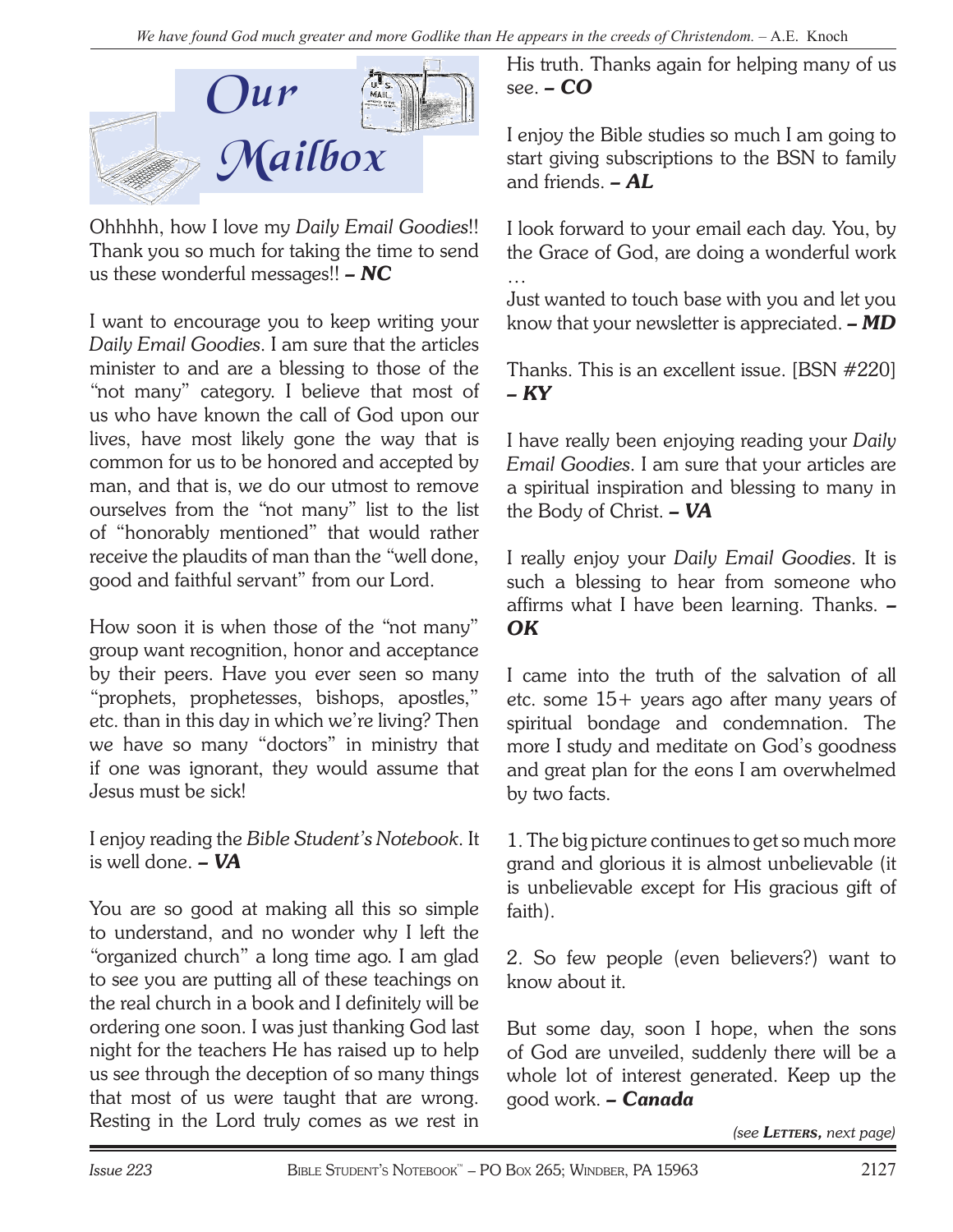

Ohhhhh, how I love my *Daily Email Goodies*!! Thank you so much for taking the time to send us these wonderful messages!! *– NC*

I want to encourage you to keep writing your *Daily Email Goodies*. I am sure that the articles minister to and are a blessing to those of the "not many" category. I believe that most of us who have known the call of God upon our lives, have most likely gone the way that is common for us to be honored and accepted by man, and that is, we do our utmost to remove ourselves from the "not many" list to the list of "honorably mentioned" that would rather receive the plaudits of man than the "well done, good and faithful servant" from our Lord.

How soon it is when those of the "not many" group want recognition, honor and acceptance by their peers. Have you ever seen so many "prophets, prophetesses, bishops, apostles," etc. than in this day in which we're living? Then we have so many "doctors" in ministry that if one was ignorant, they would assume that Jesus must be sick!

I enjoy reading the *Bible Student's Notebook*. It is well done. *– VA*

You are so good at making all this so simple to understand, and no wonder why I left the "organized church" a long time ago. I am glad to see you are putting all of these teachings on the real church in a book and I definitely will be ordering one soon. I was just thanking God last night for the teachers He has raised up to help us see through the deception of so many things that most of us were taught that are wrong. Resting in the Lord truly comes as we rest in

His truth. Thanks again for helping many of us see. *– CO*

I enjoy the Bible studies so much I am going to start giving subscriptions to the BSN to family and friends. *– AL*

I look forward to your email each day. You, by the Grace of God, are doing a wonderful work

Just wanted to touch base with you and let you know that your newsletter is appreciated. *– MD*

Thanks. This is an excellent issue. [BSN #220] *– KY*

I have really been enjoying reading your *Daily Email Goodies*. I am sure that your articles are a spiritual inspiration and blessing to many in the Body of Christ. *– VA*

I really enjoy your *Daily Email Goodies*. It is such a blessing to hear from someone who affirms what I have been learning. Thanks. *– OK*

I came into the truth of the salvation of all etc. some 15+ years ago after many years of spiritual bondage and condemnation. The more I study and meditate on God's goodness and great plan for the eons I am overwhelmed by two facts.

1. The big picture continues to get so much more grand and glorious it is almost unbelievable (it is unbelievable except for His gracious gift of faith).

2. So few people (even believers?) want to know about it.

But some day, soon I hope, when the sons of God are unveiled, suddenly there will be a whole lot of interest generated. Keep up the good work. *– Canada*

*(see LETTERS, next page)*